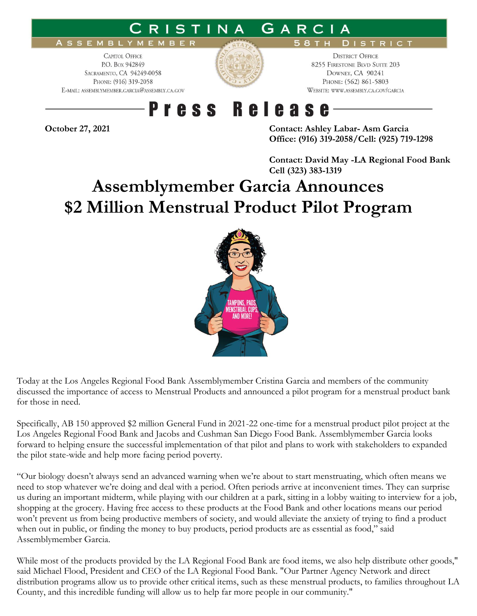#### GARCIA STINA

#### **ASSEMBLYM** EMBER

**CAPITOL OFFICE** P.O. Box 942849 SACRAMENTO, CA 94249-0058 PHONE: (916) 319-2058 E-MAIL: ASSEMBLYMEMBER.GARCIA@ASSEMBLY.CA.GOV



**DISTRICT OFFICE** 8255 FIRESTONE BLVD SUITE 203 DOWNEY, CA 90241 PHONE: (562) 861-5803 WEBSITE: WWW.ASSEMBLY.CA.GOV/GARCIA

**DISTRICT** 

### **Press Release**

**October 27, 2021 Contact: Ashley Labar- Asm Garcia Office: (916) 319-2058/Cell: (925) 719-1298**

> **Contact: David May -LA Regional Food Bank Cell (323) 383-1319**

# **Assemblymember Garcia Announces \$2 Million Menstrual Product Pilot Program**



Today at the Los Angeles Regional Food Bank Assemblymember Cristina Garcia and members of the community discussed the importance of access to Menstrual Products and announced a pilot program for a menstrual product bank for those in need.

Specifically, AB 150 approved \$2 million General Fund in 2021-22 one-time for a menstrual product pilot project at the Los Angeles Regional Food Bank and Jacobs and Cushman San Diego Food Bank. Assemblymember Garcia looks forward to helping ensure the successful implementation of that pilot and plans to work with stakeholders to expanded the pilot state-wide and help more facing period poverty.

"Our biology doesn't always send an advanced warning when we're about to start menstruating, which often means we need to stop whatever we're doing and deal with a period. Often periods arrive at inconvenient times. They can surprise us during an important midterm, while playing with our children at a park, sitting in a lobby waiting to interview for a job, shopping at the grocery. Having free access to these products at the Food Bank and other locations means our period won't prevent us from being productive members of society, and would alleviate the anxiety of trying to find a product when out in public, or finding the money to buy products, period products are as essential as food," said Assemblymember Garcia.

While most of the products provided by the LA Regional Food Bank are food items, we also help distribute other goods," said Michael Flood, President and CEO of the LA Regional Food Bank. "Our Partner Agency Network and direct distribution programs allow us to provide other critical items, such as these menstrual products, to families throughout LA County, and this incredible funding will allow us to help far more people in our community."